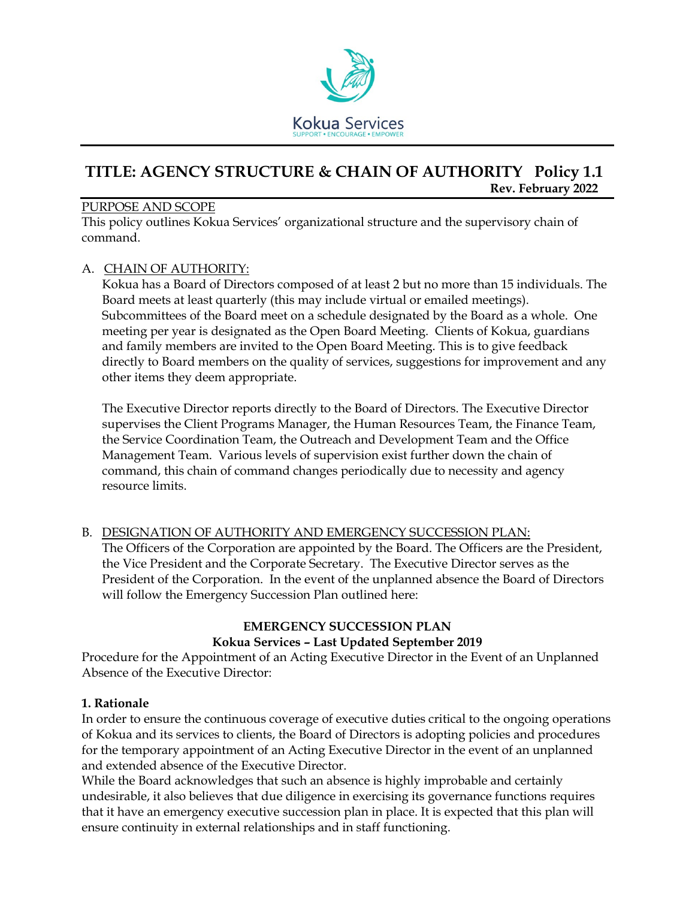

# **TITLE: AGENCY STRUCTURE & CHAIN OF AUTHORITY Policy 1.1 Rev. February 2022**

#### PURPOSE AND SCOPE

This policy outlines Kokua Services' organizational structure and the supervisory chain of command.

#### A. CHAIN OF AUTHORITY:

Kokua has a Board of Directors composed of at least 2 but no more than 15 individuals. The Board meets at least quarterly (this may include virtual or emailed meetings). Subcommittees of the Board meet on a schedule designated by the Board as a whole. One meeting per year is designated as the Open Board Meeting. Clients of Kokua, guardians and family members are invited to the Open Board Meeting. This is to give feedback directly to Board members on the quality of services, suggestions for improvement and any other items they deem appropriate.

The Executive Director reports directly to the Board of Directors. The Executive Director supervises the Client Programs Manager, the Human Resources Team, the Finance Team, the Service Coordination Team, the Outreach and Development Team and the Office Management Team. Various levels of supervision exist further down the chain of command, this chain of command changes periodically due to necessity and agency resource limits.

#### B. DESIGNATION OF AUTHORITY AND EMERGENCY SUCCESSION PLAN: The Officers of the Corporation are appointed by the Board. The Officers are the President, the Vice President and the Corporate Secretary. The Executive Director serves as the President of the Corporation. In the event of the unplanned absence the Board of Directors will follow the Emergency Succession Plan outlined here:

# **EMERGENCY SUCCESSION PLAN Kokua Services – Last Updated September 2019**

Procedure for the Appointment of an Acting Executive Director in the Event of an Unplanned Absence of the Executive Director:

#### **1. Rationale**

In order to ensure the continuous coverage of executive duties critical to the ongoing operations of Kokua and its services to clients, the Board of Directors is adopting policies and procedures for the temporary appointment of an Acting Executive Director in the event of an unplanned and extended absence of the Executive Director.

While the Board acknowledges that such an absence is highly improbable and certainly undesirable, it also believes that due diligence in exercising its governance functions requires that it have an emergency executive succession plan in place. It is expected that this plan will ensure continuity in external relationships and in staff functioning.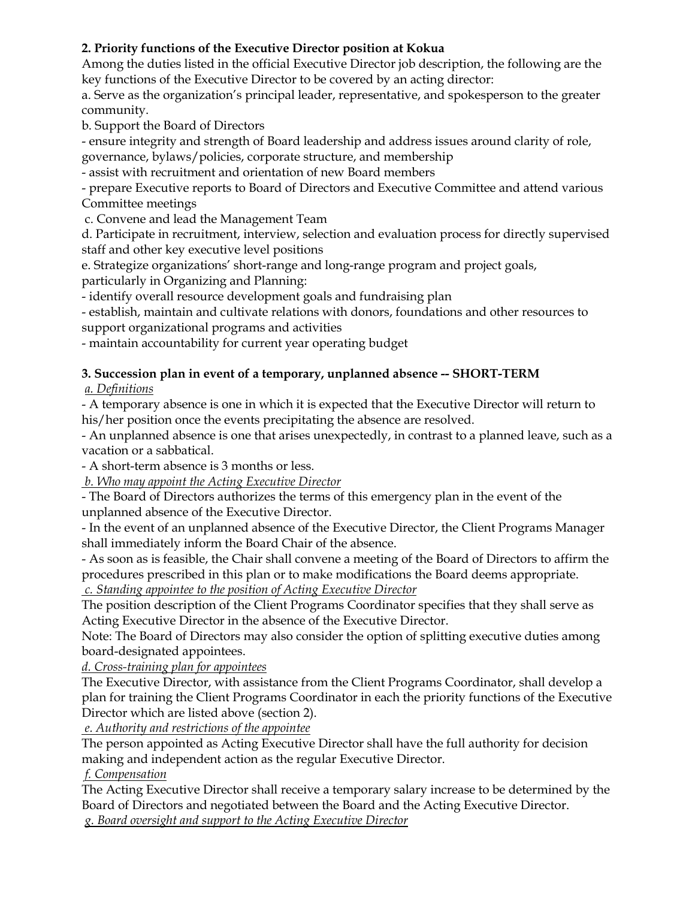## **2. Priority functions of the Executive Director position at Kokua**

Among the duties listed in the official Executive Director job description, the following are the key functions of the Executive Director to be covered by an acting director:

a. Serve as the organization's principal leader, representative, and spokesperson to the greater community.

b. Support the Board of Directors

- ensure integrity and strength of Board leadership and address issues around clarity of role, governance, bylaws/policies, corporate structure, and membership

- assist with recruitment and orientation of new Board members

- prepare Executive reports to Board of Directors and Executive Committee and attend various Committee meetings

c. Convene and lead the Management Team

d. Participate in recruitment, interview, selection and evaluation process for directly supervised staff and other key executive level positions

e. Strategize organizations' short-range and long-range program and project goals, particularly in Organizing and Planning:

- identify overall resource development goals and fundraising plan

- establish, maintain and cultivate relations with donors, foundations and other resources to support organizational programs and activities

- maintain accountability for current year operating budget

# **3. Succession plan in event of a temporary, unplanned absence -- SHORT-TERM**

*a. Definitions*

- A temporary absence is one in which it is expected that the Executive Director will return to his/her position once the events precipitating the absence are resolved.

- An unplanned absence is one that arises unexpectedly, in contrast to a planned leave, such as a vacation or a sabbatical.

- A short-term absence is 3 months or less.

 *b. Who may appoint the Acting Executive Director* 

- The Board of Directors authorizes the terms of this emergency plan in the event of the unplanned absence of the Executive Director.

- In the event of an unplanned absence of the Executive Director, the Client Programs Manager shall immediately inform the Board Chair of the absence.

- As soon as is feasible, the Chair shall convene a meeting of the Board of Directors to affirm the procedures prescribed in this plan or to make modifications the Board deems appropriate. *c. Standing appointee to the position of Acting Executive Director*

The position description of the Client Programs Coordinator specifies that they shall serve as Acting Executive Director in the absence of the Executive Director.

Note: The Board of Directors may also consider the option of splitting executive duties among board-designated appointees.

*d. Cross-training plan for appointees*

The Executive Director, with assistance from the Client Programs Coordinator, shall develop a plan for training the Client Programs Coordinator in each the priority functions of the Executive Director which are listed above (section 2).

 *e. Authority and restrictions of the appointee*

The person appointed as Acting Executive Director shall have the full authority for decision making and independent action as the regular Executive Director.

*f. Compensation*

The Acting Executive Director shall receive a temporary salary increase to be determined by the Board of Directors and negotiated between the Board and the Acting Executive Director. *g. Board oversight and support to the Acting Executive Director*